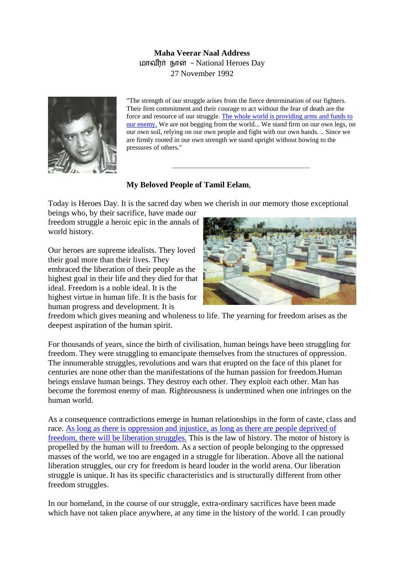## **Maha Veerar Naal Address**  மாவீரர் நாள் - National Heroes Day 27 November 1992



"The strength of our struggle arises from the fierce determination of our fighters. Their firm commitment and their courage to act without the fear of death are the force and resource of our struggle. The whole world is [providing arms and funds to](http://www.tamilnation.org/tamileelam/aid/index.htm) [our enemy.](http://www.tamilnation.org/tamileelam/aid/index.htm) We are not begging from the world... We stand firm on our own legs, on our own soil, relying on our own people and fight with our own hands. .. Since we are firmly rooted in our own strength we stand upright without bowing to the pressures of others."

## **My Beloved People of Tamil Eelam**,

Today is Heroes Day. It is the sacred day when we cherish in our memory those exceptional

beings who, by their sacrifice, have made our freedom struggle a heroic epic in the annals o f world history.

Our heroes are supreme idealists. They loved their goal more than their lives. They embraced the liberation of their people as the highest goal in their life and they died for that ideal. Freedom is a noble ideal. It is the highest virtue in human life. It is the basis for human progress and development. It is



freedom which gives meaning and wholeness to life. The yearning for freedom arises as the deepest aspiration of the human spirit.

For thousands of years, since the birth of civilisation, human beings have been struggling for freedom. They were struggling to emancipate themselves from the structures of oppression. The innumerable struggles, revolutions and wars that erupted on the face of this planet for centuries are none other than the manifestations of the human passion for freedom.Human beings enslave human beings. They destroy each other. They exploit each other. Man has become the foremost enemy of man. Righteousness is undermined when one infringes on the human world.

As a consequence contradictions emerge in human relationships in the form of caste, class and race. [As long as there is oppression and injustice,](http://www.tamilnation.org/indictment/index.htm) as long as there are people deprived of [freedom, there will be liberation struggles.](http://www.tamilnation.org/indictment/index.htm) This is the law of history. The motor of history is propelled by the human will to freedom. As a section of people belonging to the oppressed masses of the world, we too are engaged in a struggle for liberation. Above all the national liberation struggles, our cry for freedom is heard louder in the world arena. Our liberation struggle is unique. It has its specific characteristics and is structurally different from other freedom struggles.

In our homeland, in the course of our struggle, extra-ordinary sacrifices have been made which have not taken place anywhere, at any time in the history of the world. I can proudly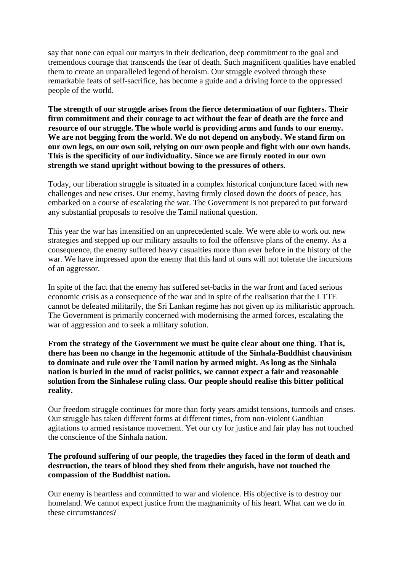say that none can equal our martyrs in their dedication, deep commitment to the goal and tremendous courage that transcends the fear of death. Such magnificent qualities have enabled them to create an unparalleled legend of heroism. Our struggle evolved through these remarkable feats of self-sacrifice, has become a guide and a driving force to the oppressed people of the world.

**The strength of our struggle arises from the fierce determination of our fighters. Their firm commitment and their courage to act without the fear of death are the force and resource of our struggle. The whole world is providing arms and funds to our enemy. We are not begging from the world. We do not depend on anybody. We stand firm on our own legs, on our own soil, relying on our own people and fight with our own hands. This is the specificity of our individuality. Since we are firmly rooted in our own strength we stand upright without bowing to the pressures of others.**

Today, our liberation struggle is situated in a complex historical conjuncture faced with new challenges and new crises. Our enemy, having firmly closed down the doors of peace, has embarked on a course of escalating the war. The Government is not prepared to put forward any substantial proposals to resolve the Tamil national question.

This year the war has intensified on an unprecedented scale. We were able to work out new strategies and stepped up our military assaults to foil the offensive plans of the enemy. As a consequence, the enemy suffered heavy casualties more than ever before in the history of the war. We have impressed upon the enemy that this land of ours will not tolerate the incursions of an aggressor.

In spite of the fact that the enemy has suffered set-backs in the war front and faced serious economic crisis as a consequence of the war and in spite of the realisation that the LTTE cannot be defeated militarily, the Sri Lankan regime has not given up its militaristic approach. The Government is primarily concerned with modernising the armed forces, escalating the war of aggression and to seek a military solution.

**From the strategy of the Government we must be quite clear about one thing. That is, there has been no change in the hegemonic attitude of the Sinhala-Buddhist chauvinism to dominate and rule over the Tamil nation by armed might. As long as the Sinhala nation is buried in the mud of racist politics, we cannot expect a fair and reasonable solution from the Sinhalese ruling class. Our people should realise this bitter political reality.**

Our freedom struggle continues for more than forty years amidst tensions, turmoils and crises. Our struggle has taken different forms at different times, from non-violent Gandhian agitations to armed resistance movement. Yet our cry for justice and fair play has not touched the conscience of the Sinhala nation.

## **The profound suffering of our people, the tragedies they faced in the form of death and destruction, the tears of blood they shed from their anguish, have not touched the compassion of the Buddhist nation.**

Our enemy is heartless and committed to war and violence. His objective is to destroy our homeland. We cannot expect justice from the magnanimity of his heart. What can we do in these circumstances?